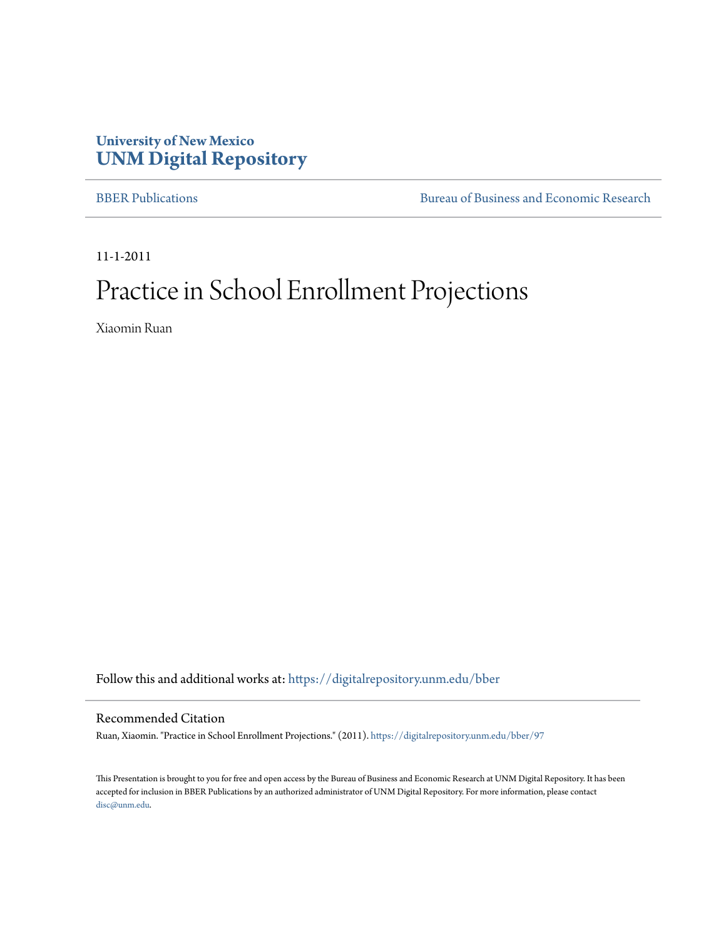#### **University of New Mexico [UNM Digital Repository](https://digitalrepository.unm.edu?utm_source=digitalrepository.unm.edu%2Fbber%2F97&utm_medium=PDF&utm_campaign=PDFCoverPages)**

[BBER Publications](https://digitalrepository.unm.edu/bber?utm_source=digitalrepository.unm.edu%2Fbber%2F97&utm_medium=PDF&utm_campaign=PDFCoverPages) **BUREA** [Bureau of Business and Economic Research](https://digitalrepository.unm.edu/business_economic_research?utm_source=digitalrepository.unm.edu%2Fbber%2F97&utm_medium=PDF&utm_campaign=PDFCoverPages)

11-1-2011

#### Practice in School Enrollment Projections

Xiaomin Ruan

Follow this and additional works at: [https://digitalrepository.unm.edu/bber](https://digitalrepository.unm.edu/bber?utm_source=digitalrepository.unm.edu%2Fbber%2F97&utm_medium=PDF&utm_campaign=PDFCoverPages)

#### Recommended Citation

Ruan, Xiaomin. "Practice in School Enrollment Projections." (2011). [https://digitalrepository.unm.edu/bber/97](https://digitalrepository.unm.edu/bber/97?utm_source=digitalrepository.unm.edu%2Fbber%2F97&utm_medium=PDF&utm_campaign=PDFCoverPages)

This Presentation is brought to you for free and open access by the Bureau of Business and Economic Research at UNM Digital Repository. It has been accepted for inclusion in BBER Publications by an authorized administrator of UNM Digital Repository. For more information, please contact [disc@unm.edu](mailto:disc@unm.edu).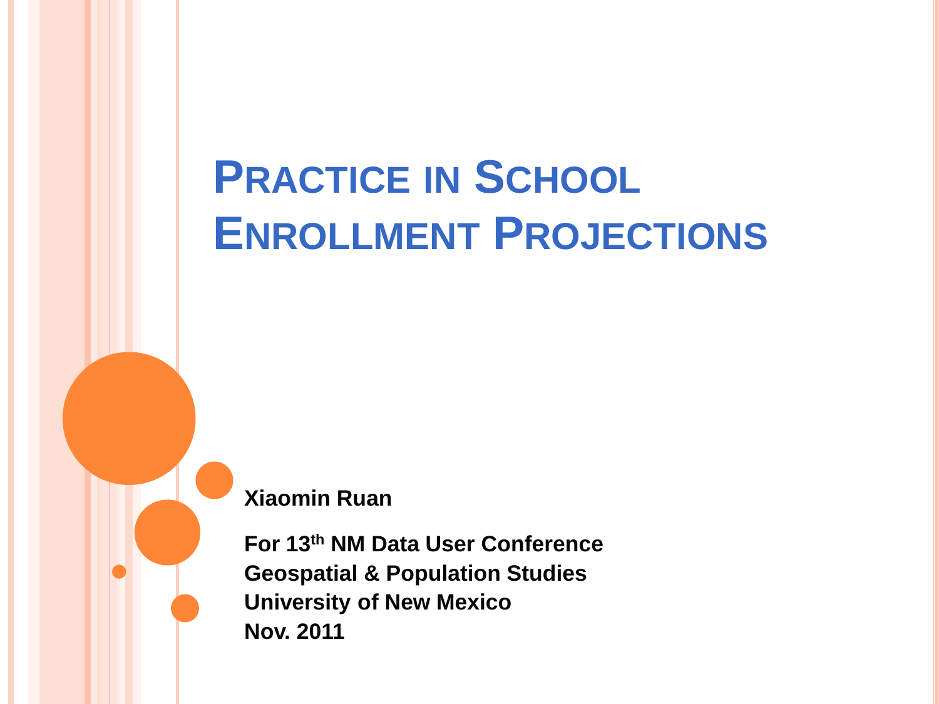# **PRACTICE IN SCHOOL ENROLLMENT PROJECTIONS**

**Xiaomin Ruan**

**For 13th NM Data User Conference Geospatial & Population Studies University of New Mexico Nov. 2011**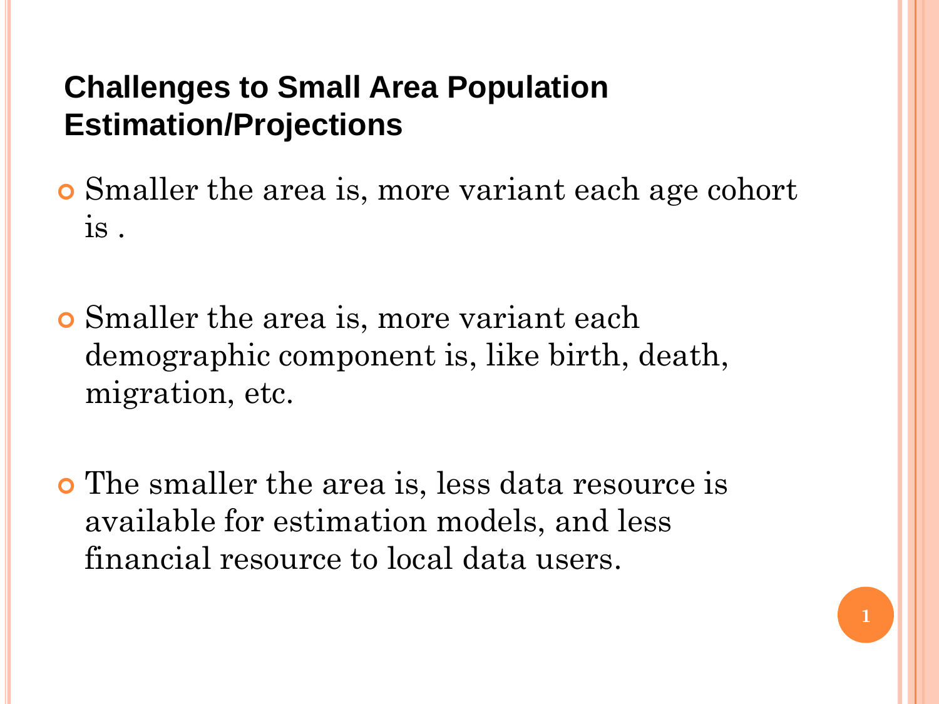# **Challenges to Small Area Population Estimation/Projections**

 Smaller the area is, more variant each age cohort is .

 Smaller the area is, more variant each demographic component is, like birth, death, migration, etc.

 The smaller the area is, less data resource is available for estimation models, and less financial resource to local data users.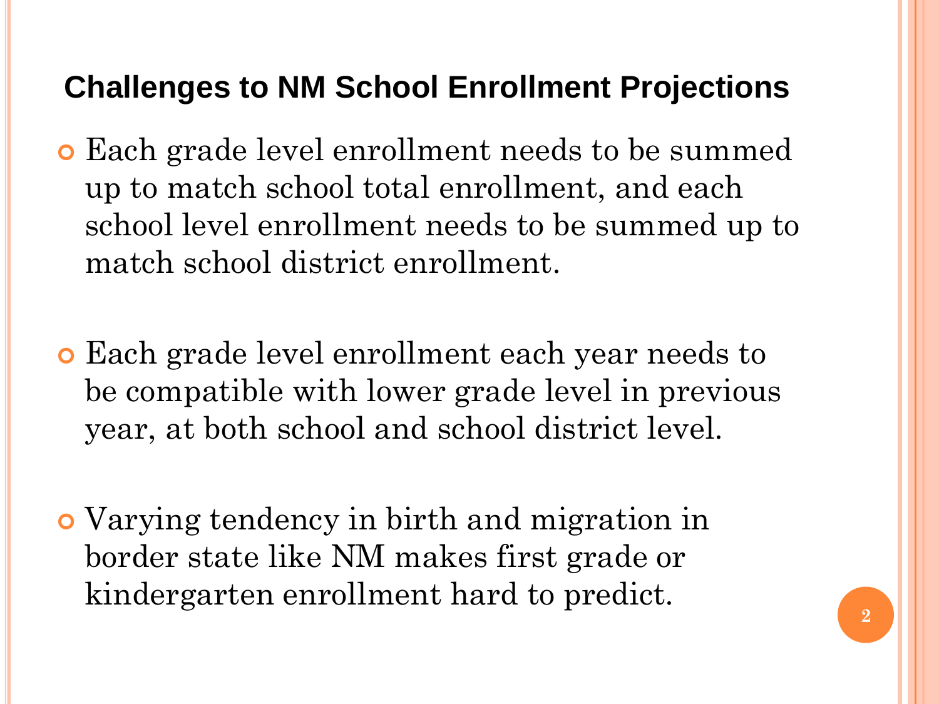# **Challenges to NM School Enrollment Projections**

- Each grade level enrollment needs to be summed up to match school total enrollment, and each school level enrollment needs to be summed up to match school district enrollment.
- Each grade level enrollment each year needs to be compatible with lower grade level in previous year, at both school and school district level.
- Varying tendency in birth and migration in border state like NM makes first grade or kindergarten enrollment hard to predict.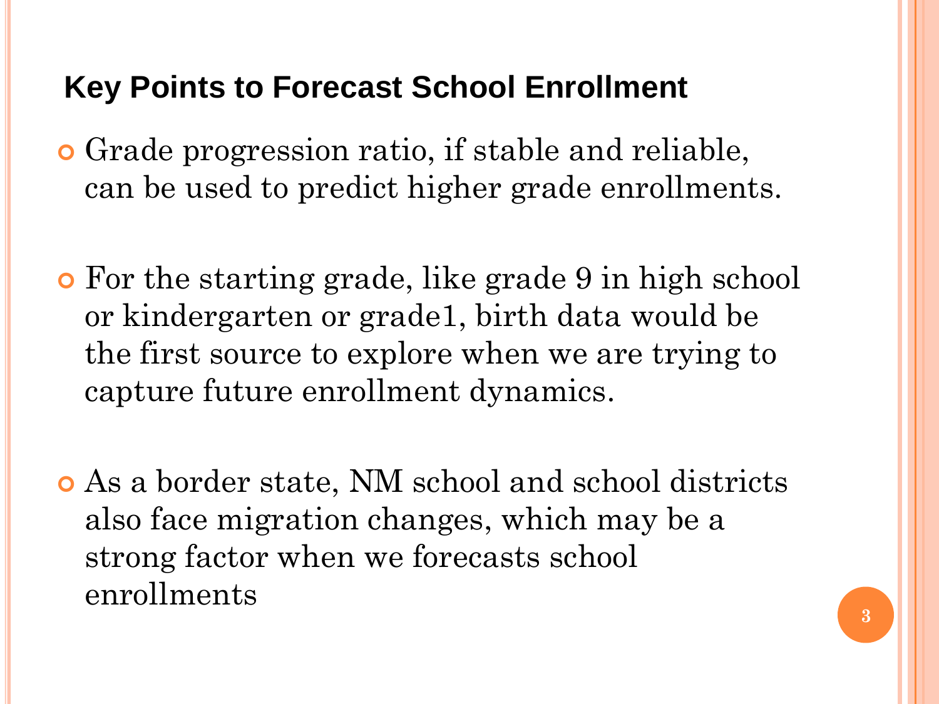# **Key Points to Forecast School Enrollment**

- Grade progression ratio, if stable and reliable, can be used to predict higher grade enrollments.
- For the starting grade, like grade 9 in high school or kindergarten or grade1, birth data would be the first source to explore when we are trying to capture future enrollment dynamics.
- As a border state, NM school and school districts also face migration changes, which may be a strong factor when we forecasts school enrollments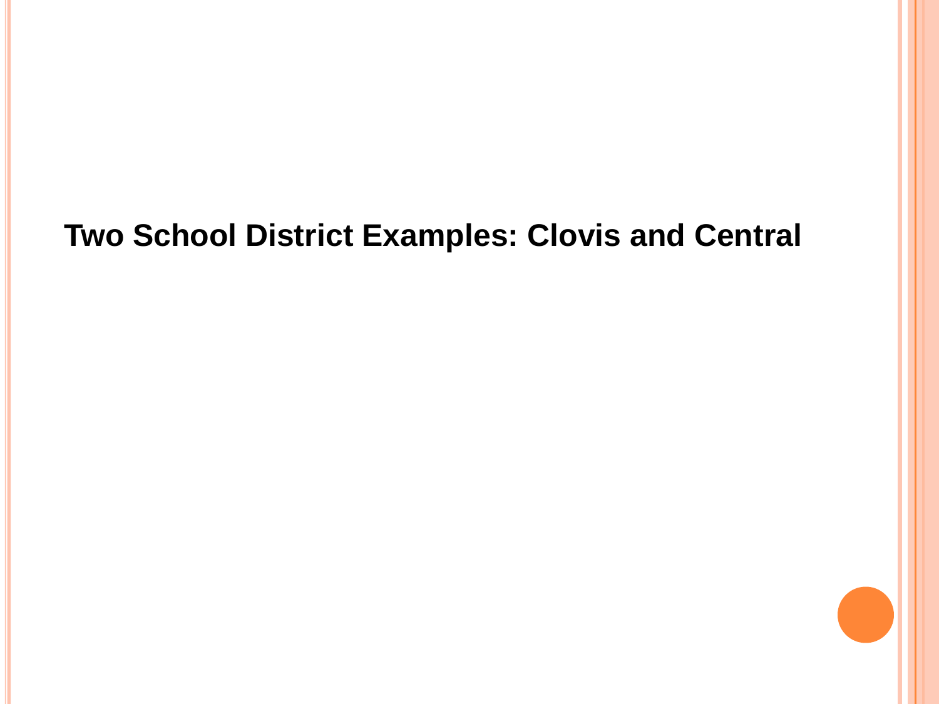# **Two School District Examples: Clovis and Central**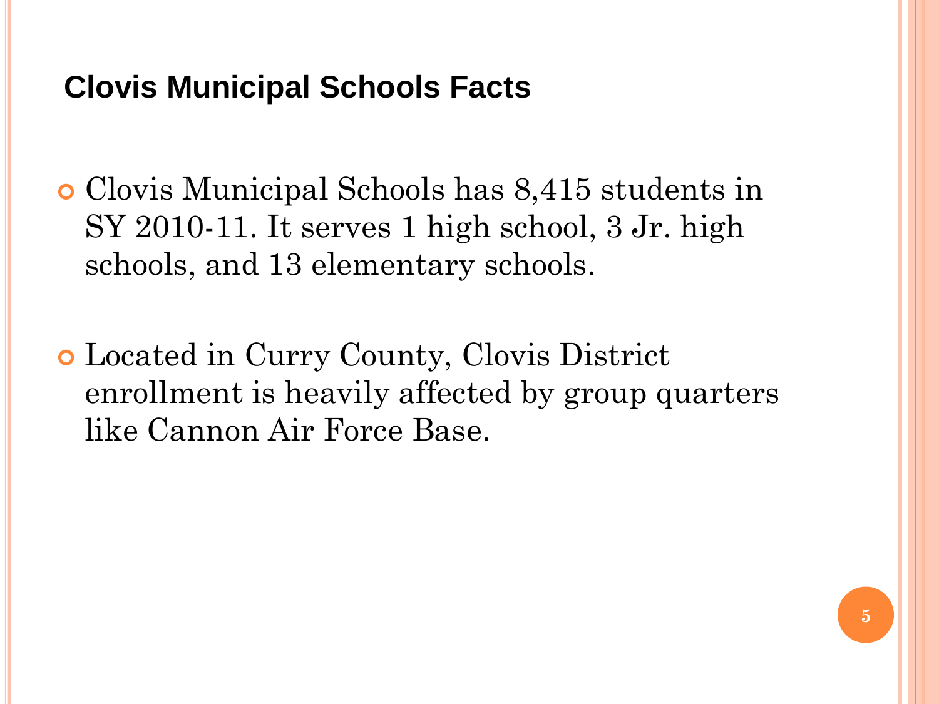# **Clovis Municipal Schools Facts**

 Clovis Municipal Schools has 8,415 students in SY 2010-11. It serves 1 high school, 3 Jr. high schools, and 13 elementary schools.

 Located in Curry County, Clovis District enrollment is heavily affected by group quarters like Cannon Air Force Base.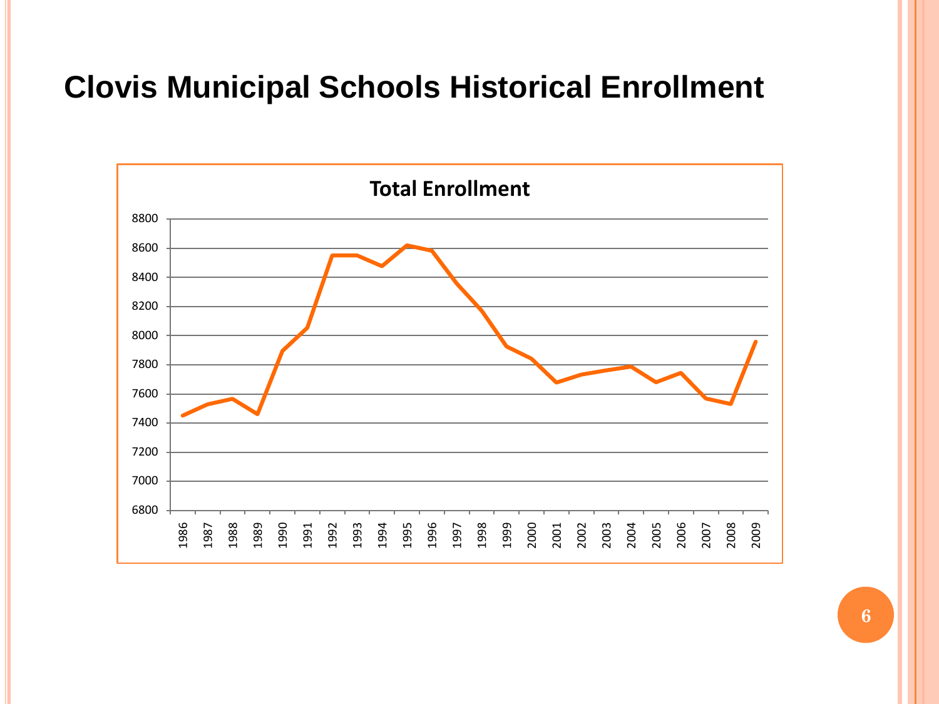# **Clovis Municipal Schools Historical Enrollment**

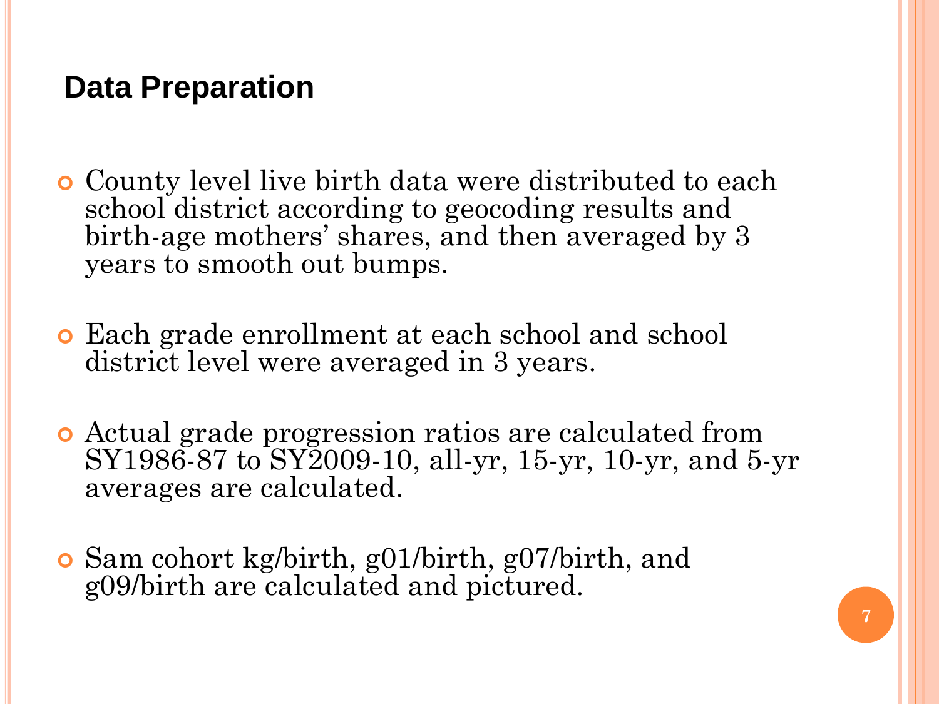# **Data Preparation**

- County level live birth data were distributed to each school district according to geocoding results and birth-age mothers' shares, and then averaged by 3 years to smooth out bumps.
- Each grade enrollment at each school and school district level were averaged in 3 years.
- Actual grade progression ratios are calculated from SY1986-87 to SY2009-10, all-yr, 15-yr, 10-yr, and 5-yr averages are calculated.
- Sam cohort kg/birth, g01/birth, g07/birth, and g09/birth are calculated and pictured.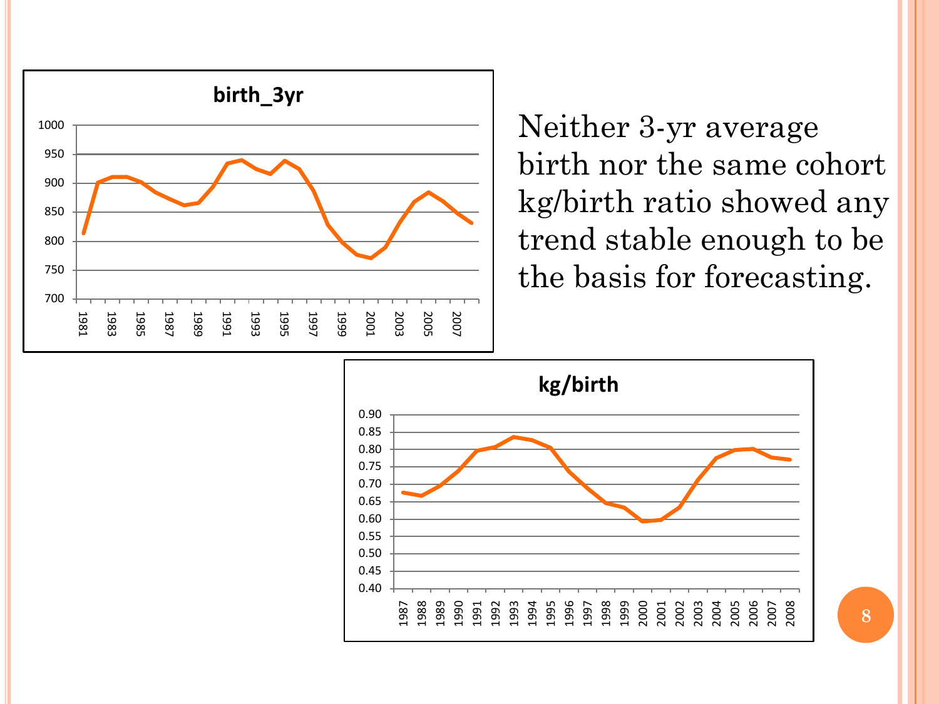

Neither 3-yr average birth nor the same cohort kg/birth ratio showed any trend stable enough to be the basis for forecasting.

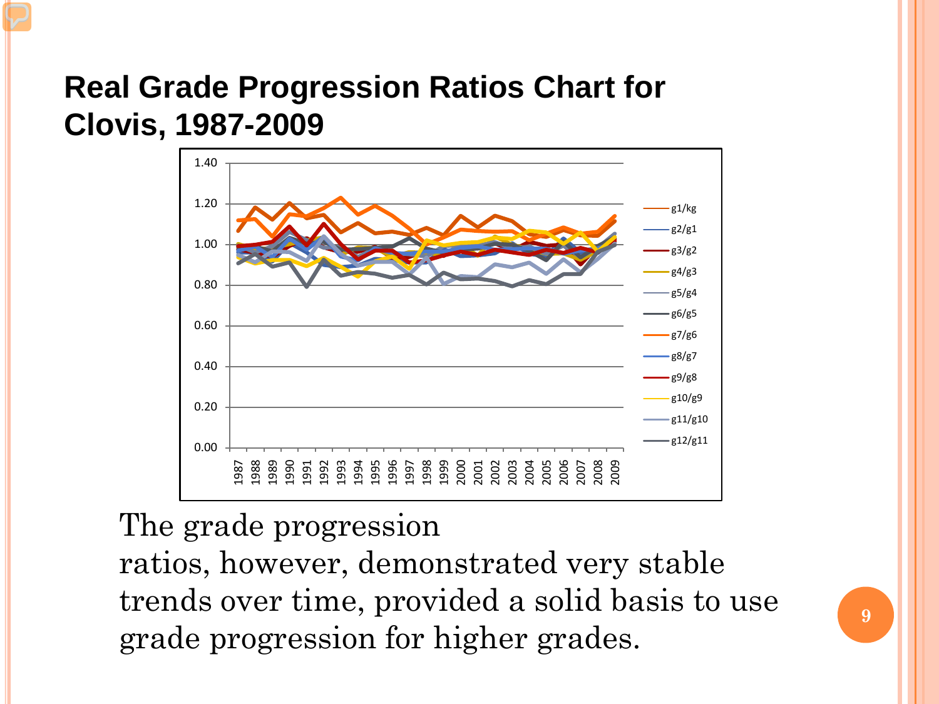# **Real Grade Progression Ratios Chart for Clovis, 1987-2009**



#### The grade progression

ratios, however, demonstrated very stable trends over time, provided a solid basis to use grade progression for higher grades.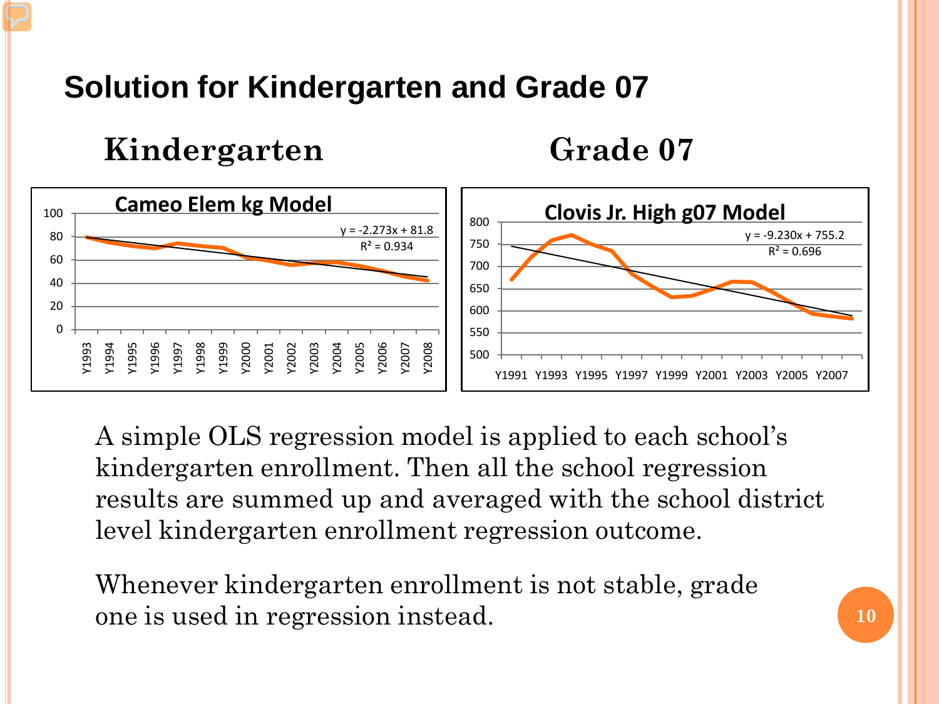# **Solution for Kindergarten and Grade 07**

**Kindergarten**

**Grade 07**



A simple OLS regression model is applied to each school's kindergarten enrollment. Then all the school regression results are summed up and averaged with the school district level kindergarten enrollment regression outcome.

Whenever kindergarten enrollment is not stable, grade one is used in regression instead.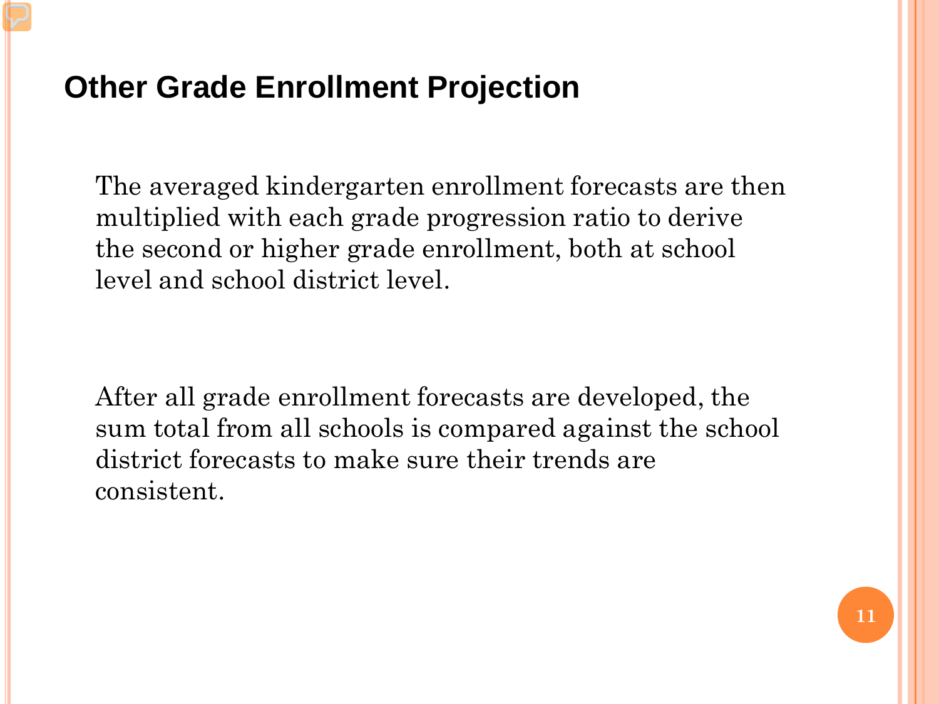# **Other Grade Enrollment Projection**

The averaged kindergarten enrollment forecasts are then multiplied with each grade progression ratio to derive the second or higher grade enrollment, both at school level and school district level.

After all grade enrollment forecasts are developed, the sum total from all schools is compared against the school district forecasts to make sure their trends are consistent.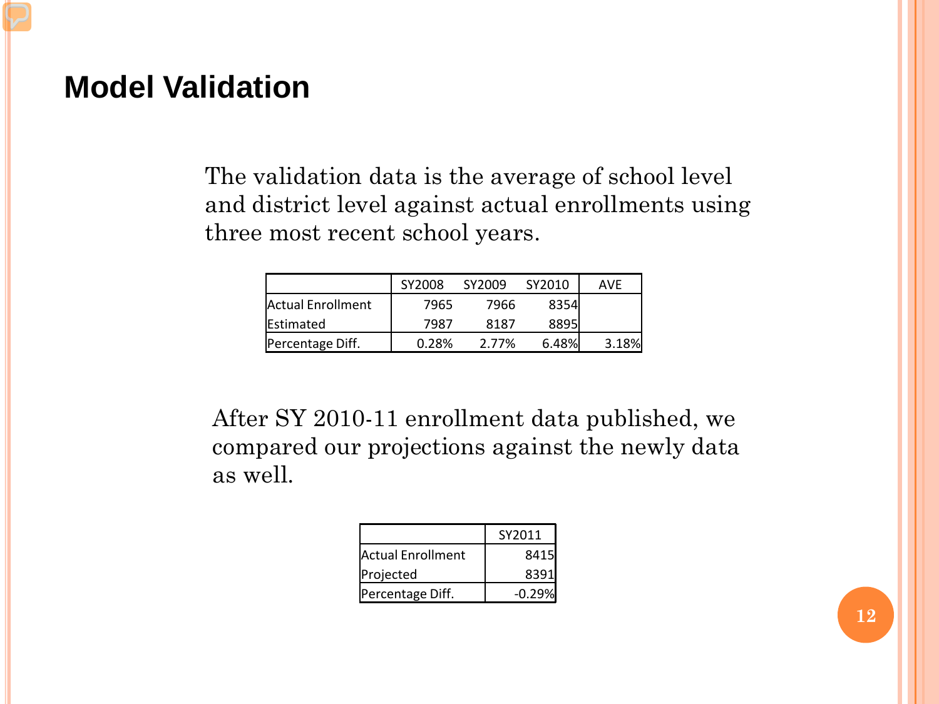#### **Model Validation**

The validation data is the average of school level and district level against actual enrollments using three most recent school years.

|                   | SY2008 | SY2009 | SY2010 | <b>AVF</b> |
|-------------------|--------|--------|--------|------------|
| Actual Enrollment | 7965   | 7966   | 8354   |            |
| <b>IEstimated</b> | 7987   | 8187   | 8895I  |            |
| Percentage Diff.  | 0.28%  | 2.77%  | 6.48%  | 3.18%      |

After SY 2010-11 enrollment data published, we compared our projections against the newly data as well.

|                    | SY2011   |
|--------------------|----------|
| lActual Enrollment | 8415     |
| Projected          | 8391     |
| Percentage Diff.   | $-0.29%$ |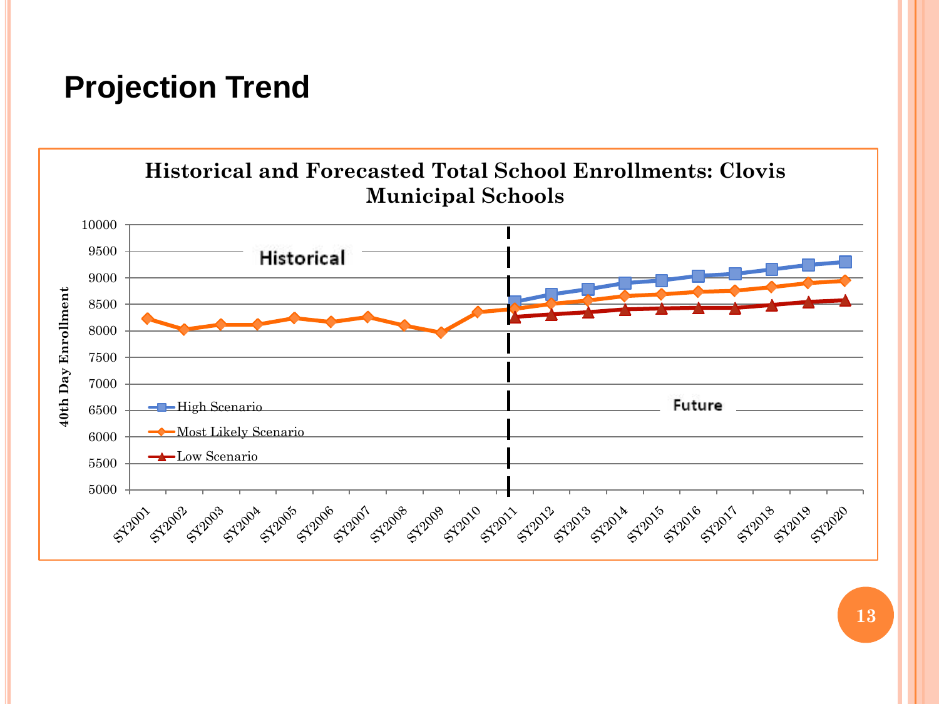# **Projection Trend**

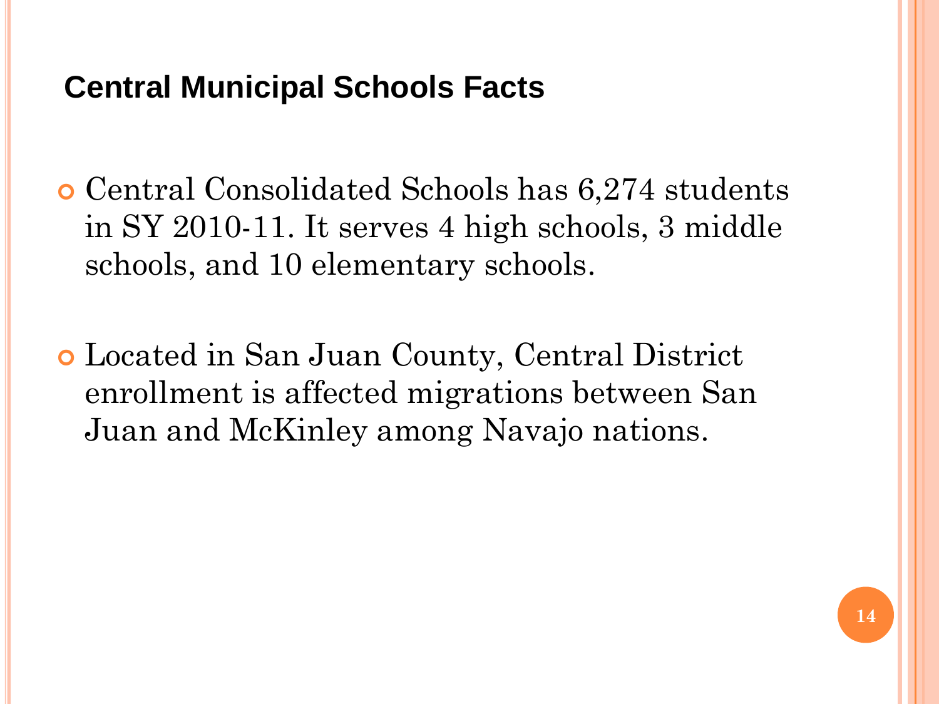# **Central Municipal Schools Facts**

 Central Consolidated Schools has 6,274 students in SY 2010-11. It serves 4 high schools, 3 middle schools, and 10 elementary schools.

 Located in San Juan County, Central District enrollment is affected migrations between San Juan and McKinley among Navajo nations.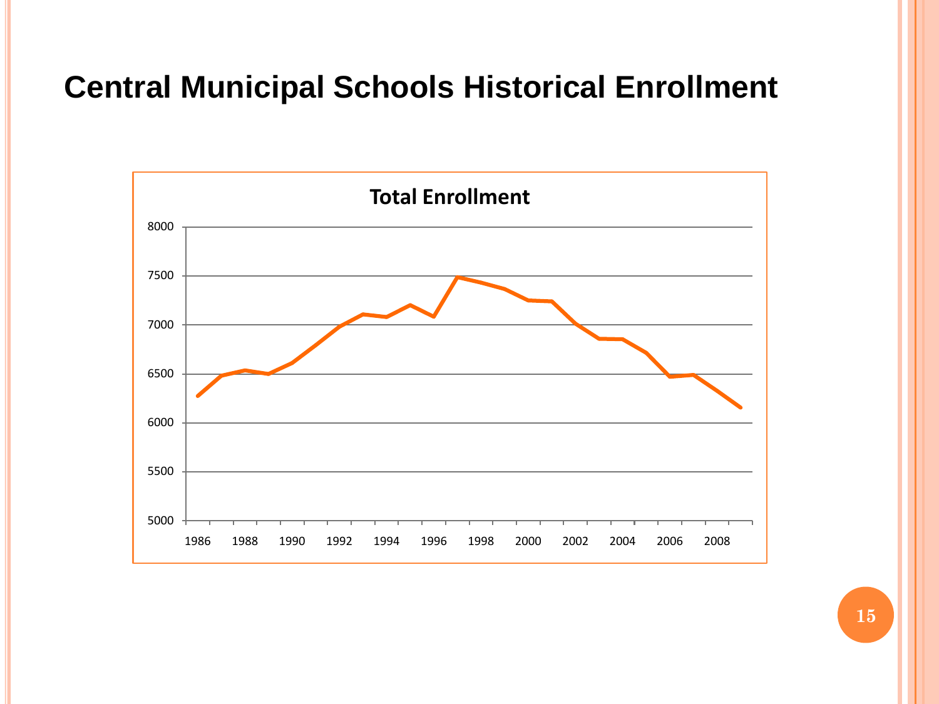# **Central Municipal Schools Historical Enrollment**

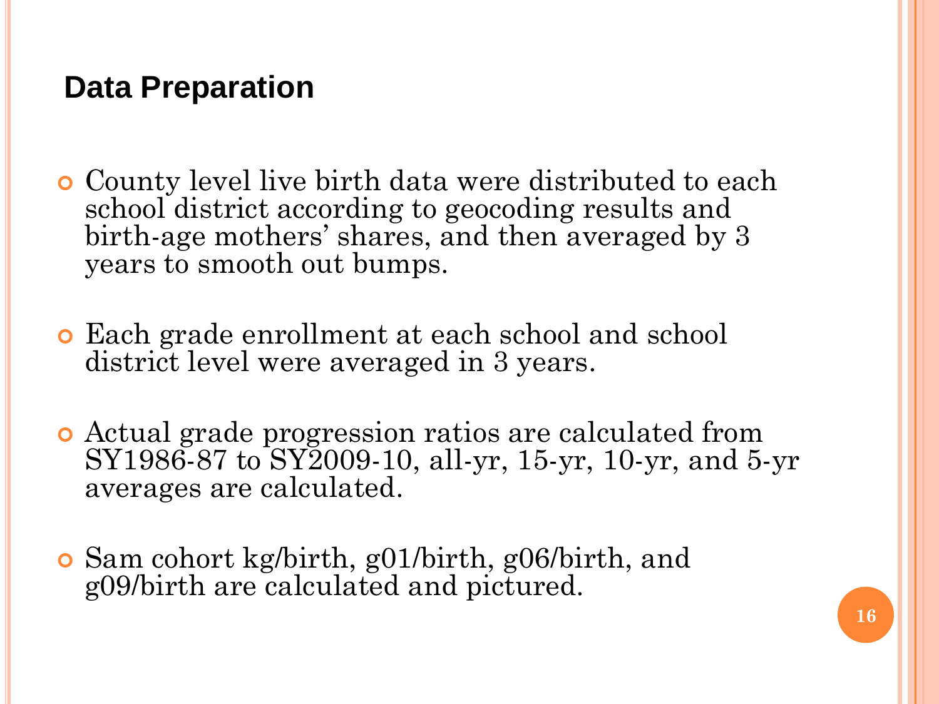# **Data Preparation**

- County level live birth data were distributed to each school district according to geocoding results and birth-age mothers' shares, and then averaged by 3 years to smooth out bumps.
- Each grade enrollment at each school and school district level were averaged in 3 years.
- Actual grade progression ratios are calculated from SY1986-87 to SY2009-10, all-yr, 15-yr, 10-yr, and 5-yr averages are calculated.
- Sam cohort kg/birth, g01/birth, g06/birth, and g09/birth are calculated and pictured.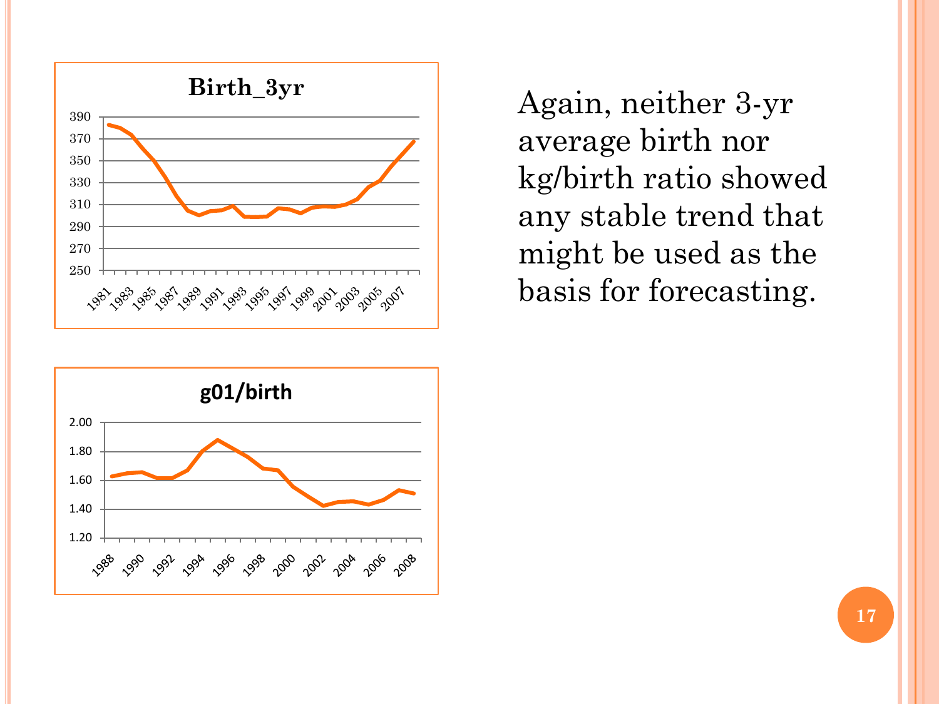

Again, neither 3-yr average birth nor kg/birth ratio showed any stable trend that might be used as the basis for forecasting.

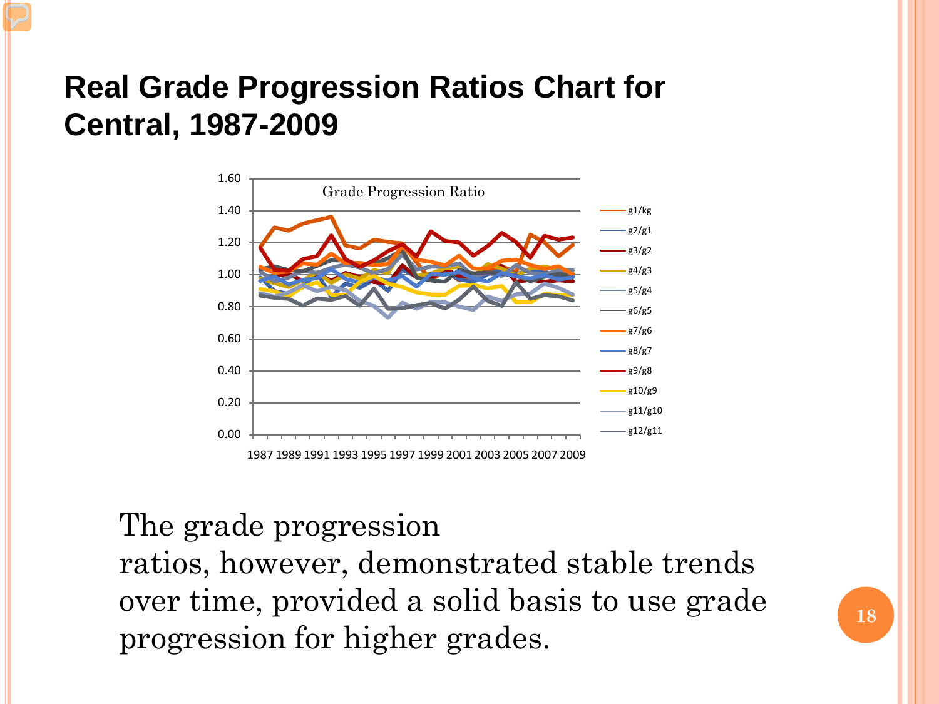# **Real Grade Progression Ratios Chart for Central, 1987-2009**



#### The grade progression

ratios, however, demonstrated stable trends over time, provided a solid basis to use grade progression for higher grades.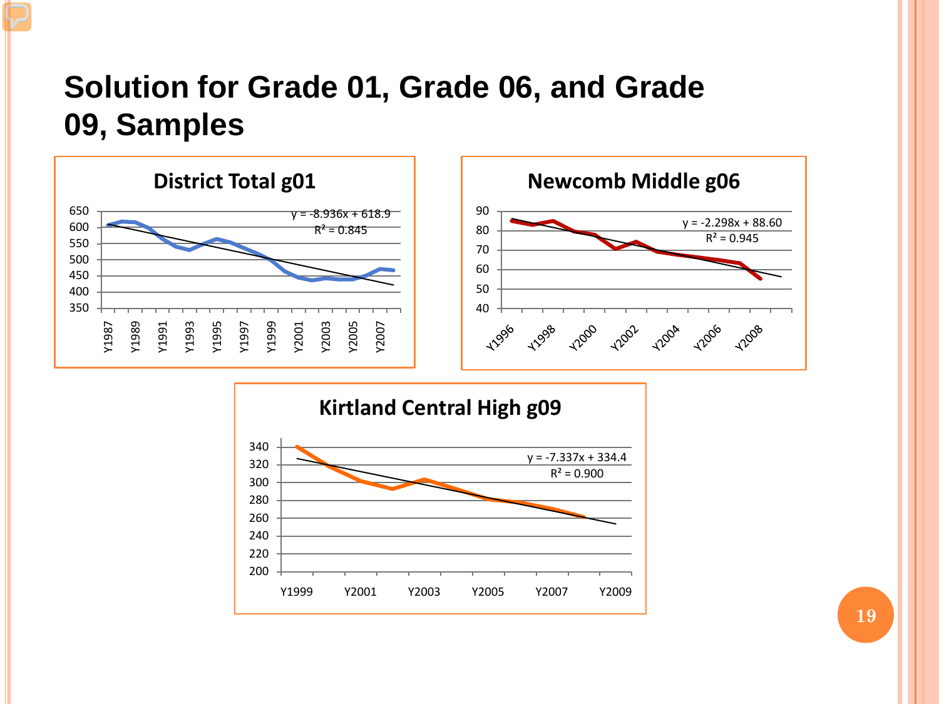## **Solution for Grade 01, Grade 06, and Grade 09, Samples**





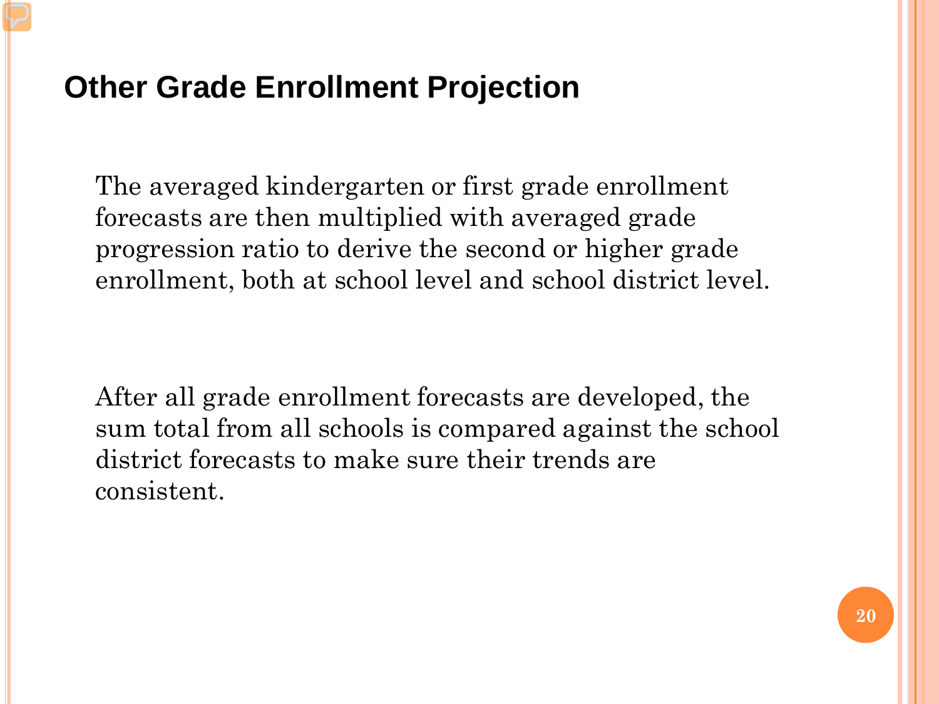# **Other Grade Enrollment Projection**

The averaged kindergarten or first grade enrollment forecasts are then multiplied with averaged grade progression ratio to derive the second or higher grade enrollment, both at school level and school district level.

After all grade enrollment forecasts are developed, the sum total from all schools is compared against the school district forecasts to make sure their trends are consistent.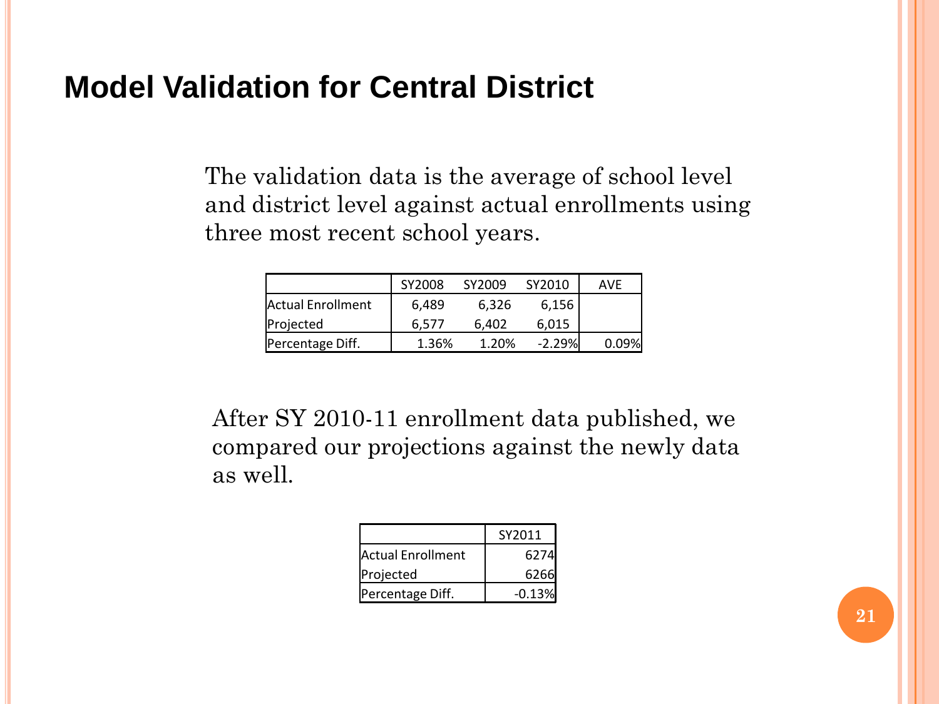#### **Model Validation for Central District**

The validation data is the average of school level and district level against actual enrollments using three most recent school years.

|                   | SY2008 | SY2009 | SY2010   | <b>AVF</b> |
|-------------------|--------|--------|----------|------------|
| Actual Enrollment | 6,489  | 6.326  | 6,156    |            |
| Projected         | 6.577  | 6.402  | 6.015    |            |
| Percentage Diff.  | 1.36%  | 1.20%  | $-2.29%$ | 0.09%      |

After SY 2010-11 enrollment data published, we compared our projections against the newly data as well.

|                   | SY2011   |
|-------------------|----------|
| Actual Enrollment | 6274     |
| Projected         | 6266     |
| Percentage Diff.  | $-0.13%$ |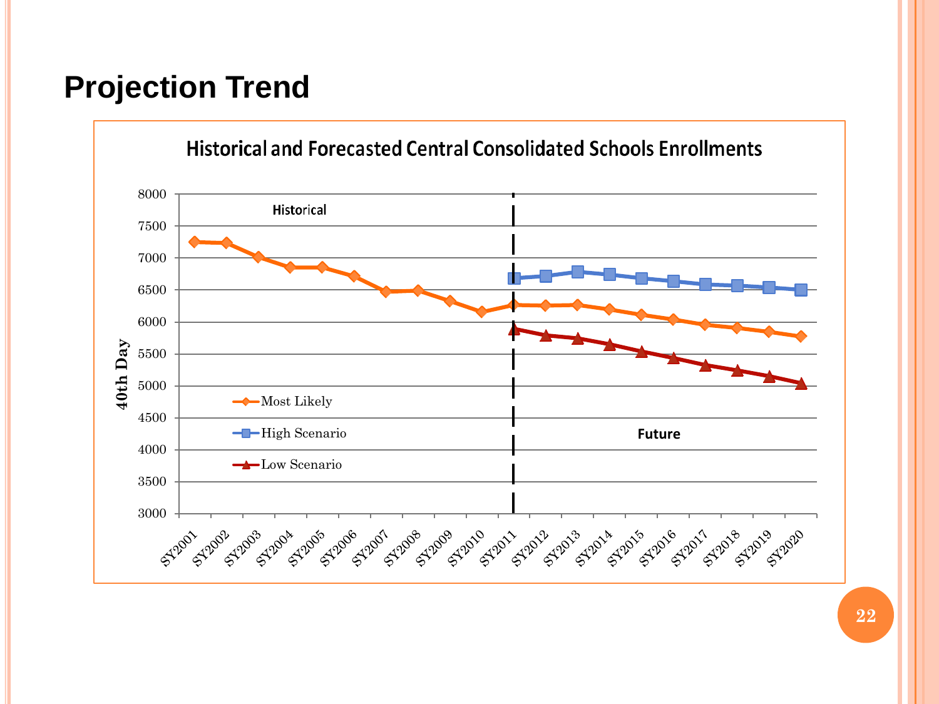# **Projection Trend**

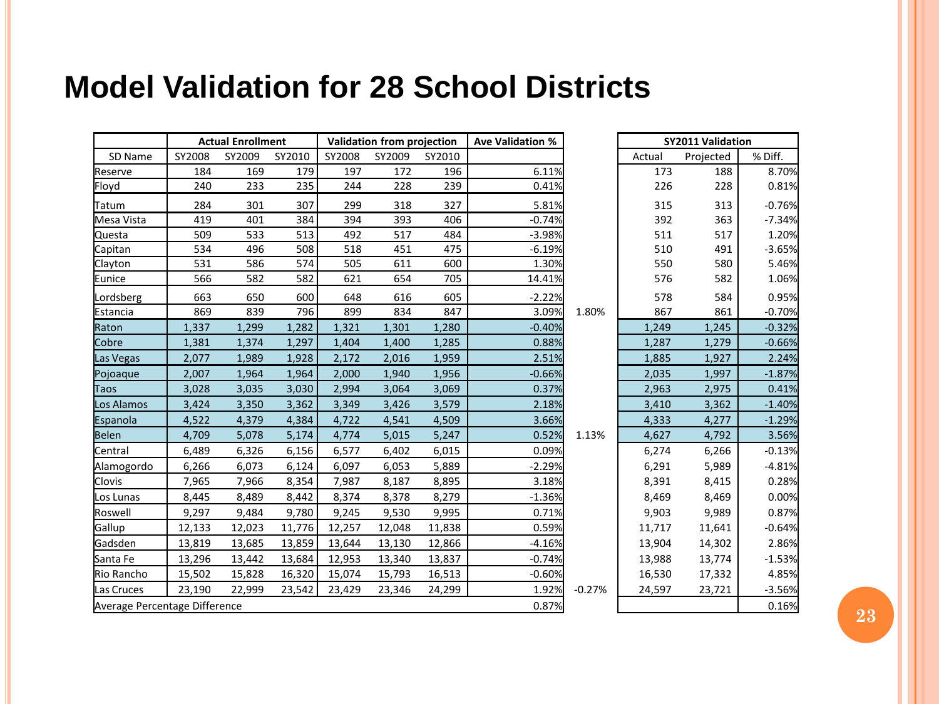# **Model Validation for 28 School Districts**

|                               |        | <b>Actual Enrollment</b> |        |        | Validation from projection |        | <b>Ave Validation %</b> |          |        | <b>SY2011 Validation</b> |          |
|-------------------------------|--------|--------------------------|--------|--------|----------------------------|--------|-------------------------|----------|--------|--------------------------|----------|
| SD Name                       | SY2008 | SY2009                   | SY2010 | SY2008 | SY2009                     | SY2010 |                         |          | Actual | Projected                | % Diff.  |
| Reserve                       | 184    | 169                      | 179    | 197    | 172                        | 196    | 6.11%                   |          | 173    | 188                      | 8.70%    |
| Floyd                         | 240    | 233                      | 235    | 244    | 228                        | 239    | 0.41%                   |          | 226    | 228                      | 0.81%    |
| Tatum                         | 284    | 301                      | 307    | 299    | 318                        | 327    | 5.81%                   |          | 315    | 313                      | $-0.76%$ |
| Mesa Vista                    | 419    | 401                      | 384    | 394    | 393                        | 406    | $-0.74%$                |          | 392    | 363                      | $-7.34%$ |
| Questa                        | 509    | 533                      | 513    | 492    | 517                        | 484    | $-3.98%$                |          | 511    | 517                      | 1.20%    |
| Capitan                       | 534    | 496                      | 508    | 518    | 451                        | 475    | $-6.19%$                |          | 510    | 491                      | $-3.65%$ |
| Clayton                       | 531    | 586                      | 574    | 505    | 611                        | 600    | 1.30%                   |          | 550    | 580                      | 5.46%    |
| Eunice                        | 566    | 582                      | 582    | 621    | 654                        | 705    | 14.41%                  |          | 576    | 582                      | 1.06%    |
| Lordsberg                     | 663    | 650                      | 600    | 648    | 616                        | 605    | $-2.22%$                |          | 578    | 584                      | 0.95%    |
| Estancia                      | 869    | 839                      | 796    | 899    | 834                        | 847    | 3.09%                   | 1.80%    | 867    | 861                      | $-0.70%$ |
| Raton                         | 1,337  | 1,299                    | 1,282  | 1,321  | 1,301                      | 1,280  | $-0.40%$                |          | 1,249  | 1,245                    | $-0.32%$ |
| Cobre                         | 1,381  | 1,374                    | 1,297  | 1,404  | 1,400                      | 1,285  | 0.88%                   |          | 1,287  | 1,279                    | $-0.66%$ |
| Las Vegas                     | 2,077  | 1,989                    | 1,928  | 2,172  | 2,016                      | 1,959  | 2.51%                   |          | 1,885  | 1,927                    | 2.24%    |
| Pojoaque                      | 2,007  | 1,964                    | 1,964  | 2,000  | 1,940                      | 1,956  | $-0.66%$                |          | 2,035  | 1,997                    | $-1.87%$ |
| Taos                          | 3,028  | 3,035                    | 3,030  | 2,994  | 3,064                      | 3,069  | 0.37%                   |          | 2,963  | 2,975                    | 0.41%    |
| Los Alamos                    | 3,424  | 3,350                    | 3,362  | 3,349  | 3,426                      | 3,579  | 2.18%                   |          | 3,410  | 3,362                    | $-1.40%$ |
| Espanola                      | 4,522  | 4,379                    | 4,384  | 4,722  | 4,541                      | 4,509  | 3.66%                   |          | 4,333  | 4,277                    | $-1.29%$ |
| Belen                         | 4,709  | 5,078                    | 5,174  | 4,774  | 5,015                      | 5,247  | 0.52%                   | 1.13%    | 4,627  | 4,792                    | 3.56%    |
| Central                       | 6,489  | 6,326                    | 6,156  | 6,577  | 6,402                      | 6,015  | 0.09%                   |          | 6,274  | 6,266                    | $-0.13%$ |
| Alamogordo                    | 6,266  | 6,073                    | 6,124  | 6,097  | 6,053                      | 5,889  | $-2.29%$                |          | 6,291  | 5,989                    | $-4.81%$ |
| <b>Clovis</b>                 | 7,965  | 7,966                    | 8,354  | 7,987  | 8,187                      | 8,895  | 3.18%                   |          | 8,391  | 8,415                    | 0.28%    |
| Los Lunas                     | 8,445  | 8,489                    | 8,442  | 8,374  | 8,378                      | 8,279  | $-1.36%$                |          | 8,469  | 8,469                    | 0.00%    |
| Roswell                       | 9,297  | 9,484                    | 9,780  | 9,245  | 9,530                      | 9,995  | 0.71%                   |          | 9,903  | 9,989                    | 0.87%    |
| Gallup                        | 12,133 | 12,023                   | 11,776 | 12,257 | 12,048                     | 11,838 | 0.59%                   |          | 11,717 | 11,641                   | $-0.64%$ |
| Gadsden                       | 13,819 | 13,685                   | 13,859 | 13,644 | 13,130                     | 12,866 | $-4.16%$                |          | 13,904 | 14,302                   | 2.86%    |
| Santa Fe                      | 13,296 | 13,442                   | 13,684 | 12,953 | 13,340                     | 13,837 | $-0.74%$                |          | 13,988 | 13,774                   | $-1.53%$ |
| Rio Rancho                    | 15,502 | 15,828                   | 16,320 | 15,074 | 15,793                     | 16,513 | $-0.60%$                |          | 16,530 | 17,332                   | 4.85%    |
| Las Cruces                    | 23,190 | 22,999                   | 23,542 | 23,429 | 23,346                     | 24,299 | 1.92%                   | $-0.27%$ | 24,597 | 23,721                   | $-3.56%$ |
| Average Percentage Difference |        |                          |        |        |                            |        | 0.87%                   |          |        |                          | 0.16%    |

**23**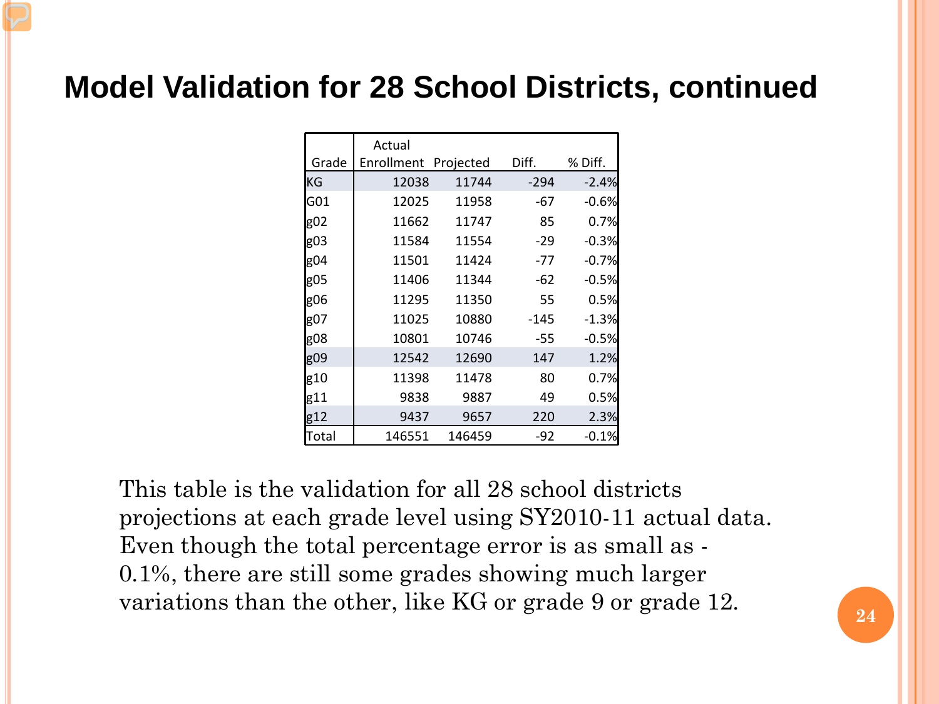# **Model Validation for 28 School Districts, continued**

|       | Actual               |        |        |         |
|-------|----------------------|--------|--------|---------|
| Grade | Enrollment Projected |        | Diff.  | % Diff. |
| lKG   | 12038                | 11744  | -294   | $-2.4%$ |
| lG01  | 12025                | 11958  | -67    | $-0.6%$ |
| g02   | 11662                | 11747  | 85     | 0.7%    |
| g03   | 11584                | 11554  | $-29$  | $-0.3%$ |
| g04   | 11501                | 11424  | $-77$  | $-0.7%$ |
| g05   | 11406                | 11344  | -62    | $-0.5%$ |
| g06   | 11295                | 11350  | 55     | 0.5%    |
| g07   | 11025                | 10880  | $-145$ | $-1.3%$ |
| g08   | 10801                | 10746  | -55    | $-0.5%$ |
| g09   | 12542                | 12690  | 147    | 1.2%    |
| g10   | 11398                | 11478  | 80     | 0.7%    |
| g11   | 9838                 | 9887   | 49     | 0.5%    |
| g12   | 9437                 | 9657   | 220    | 2.3%    |
| Total | 146551               | 146459 | -92    | $-0.1%$ |

This table is the validation for all 28 school districts projections at each grade level using SY2010-11 actual data. Even though the total percentage error is as small as - 0.1%, there are still some grades showing much larger variations than the other, like KG or grade 9 or grade 12.